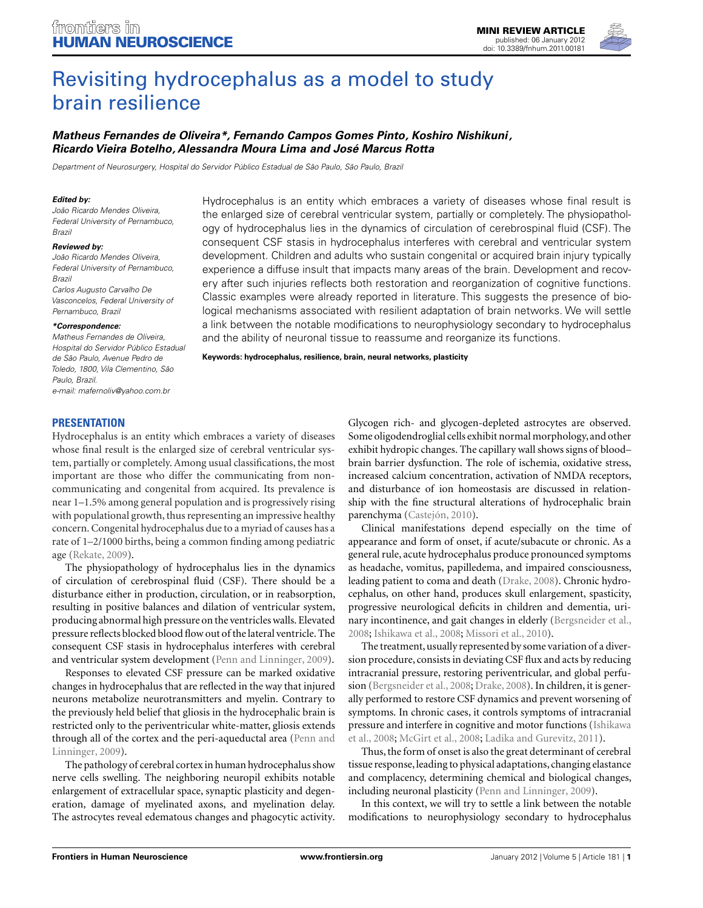

# [Revisiting hydrocephalus as a model to study](http://www.frontiersin.org/Human_Neuroscience/10.3389/fnhum.2012.00181/abstract) brain resilience

# *[Matheus Fernandes de Oliveira\\*](http://www.frontiersin.org/Community/WhosWhoDetails.aspx?UID=40693&d=2&sname=MatheusOliveira&name=Medicine), Fernando Campos Gomes Pinto, Koshiro Nishikuni, Ricardo Vieira Botelho, Alessandra Moura Lima and José Marcus Rotta*

Department of Neurosurgery, Hospital do Servidor Público Estadual de São Paulo, São Paulo, Brazil

#### *Edited by:*

João Ricardo Mendes Oliveira, Federal University of Pernambuco, Brazil

#### *Reviewed by:*

João Ricardo Mendes Oliveira, Federal University of Pernambuco, Brazil Carlos Augusto Carvalho De Vasconcelos, Federal University of Pernambuco, Brazil

#### *\*Correspondence:*

Matheus Fernandes de Oliveira, Hospital do Servidor Público Estadual de São Paulo, Avenue Pedro de Toledo, 1800, Vila Clementino, São Paulo, Brazil. e-mail: [mafernoliv@yahoo.com.br](mailto:mafernoliv@yahoo.com.br)

Hydrocephalus is an entity which embraces a variety of diseases whose final result is the enlarged size of cerebral ventricular system, partially or completely. The physiopathology of hydrocephalus lies in the dynamics of circulation of cerebrospinal fluid (CSF). The consequent CSF stasis in hydrocephalus interferes with cerebral and ventricular system development. Children and adults who sustain congenital or acquired brain injury typically experience a diffuse insult that impacts many areas of the brain. Development and recovery after such injuries reflects both restoration and reorganization of cognitive functions. Classic examples were already reported in literature. This suggests the presence of biological mechanisms associated with resilient adaptation of brain networks. We will settle a link between the notable modifications to neurophysiology secondary to hydrocephalus and the ability of neuronal tissue to reassume and reorganize its functions.

**Keywords: hydrocephalus, resilience, brain, neural networks, plasticity**

#### **PRESENTATION**

Hydrocephalus is an entity which embraces a variety of diseases whose final result is the enlarged size of cerebral ventricular system, partially or completely. Among usual classifications, the most important are those who differ the communicating from noncommunicating and congenital from acquired. Its prevalence is near 1–1.5% among general population and is progressively rising with populational growth, thus representing an impressive healthy concern. Congenital hydrocephalus due to a myriad of causes has a rate of 1–2/1000 births, being a common finding among pediatric age [\(Rekate, 2009](#page-3-0)).

The physiopathology of hydrocephalus lies in the dynamics of circulation of cerebrospinal fluid (CSF). There should be a disturbance either in production, circulation, or in reabsorption, resulting in positive balances and dilation of ventricular system, producing abnormal high pressure on the ventricles walls. Elevated pressure reflects blocked blood flow out of the lateral ventricle. The consequent CSF stasis in hydrocephalus interferes with cerebral and ventricular system development [\(Penn and Linninger](#page-3-0), [2009](#page-3-0)).

Responses to elevated CSF pressure can be marked oxidative changes in hydrocephalus that are reflected in the way that injured neurons metabolize neurotransmitters and myelin. Contrary to the previously held belief that gliosis in the hydrocephalic brain is restricted only to the periventricular white-matter, gliosis extends through a[ll of the cortex and the peri-aqueductal area \(](#page-3-0)Penn and Linninger, [2009\)](#page-3-0).

The pathology of cerebral cortex in human hydrocephalus show nerve cells swelling. The neighboring neuropil exhibits notable enlargement of extracellular space, synaptic plasticity and degeneration, damage of myelinated axons, and myelination delay. The astrocytes reveal edematous changes and phagocytic activity.

Glycogen rich- and glycogen-depleted astrocytes are observed. Some oligodendroglial cells exhibit normal morphology, and other exhibit hydropic changes. The capillary wall shows signs of blood– brain barrier dysfunction. The role of ischemia, oxidative stress, increased calcium concentration, activation of NMDA receptors, and disturbance of ion homeostasis are discussed in relationship with the fine structural alterations of hydrocephalic brain parenchyma [\(Castejón, 2010](#page-3-0)).

Clinical manifestations depend especially on the time of appearance and form of onset, if acute/subacute or chronic. As a general rule, acute hydrocephalus produce pronounced symptoms as headache, vomitus, papilledema, and impaired consciousness, leading patient to coma and death [\(Drake, 2008](#page-3-0)). Chronic hydrocephalus, on other hand, produces skull enlargement, spasticity, progressive neurological deficits in children and dementia, urinary incontinence, and gait changes in elderly [\(Bergsneider et al.,](#page-3-0) [2008;](#page-3-0) [Ishikawa et al.](#page-3-0), [2008](#page-3-0); [Missori et al.](#page-3-0), [2010\)](#page-3-0).

The treatment, usually represented by some variation of a diversion procedure, consists in deviating CSF flux and acts by reducing intracranial pressure, restoring periventricular, and global perfusion [\(Bergsneider et al.](#page-3-0), [2008](#page-3-0); [Drake, 2008\)](#page-3-0). In children, it is generally performed to restore CSF dynamics and prevent worsening of symptoms. In chronic cases, it controls symptoms of intracranial pres[sure](#page-3-0) [and](#page-3-0) [interfere](#page-3-0) [in](#page-3-0) [cognitive](#page-3-0) [and](#page-3-0) [motor](#page-3-0) [functions](#page-3-0) [\(](#page-3-0)Ishikawa et al., [2008;](#page-3-0) [McGirt et al., 2008](#page-3-0); [Ladika and Gurevitz](#page-3-0), [2011\)](#page-3-0).

Thus, the form of onset is also the great determinant of cerebral tissue response,leading to physical adaptations, changing elastance and complacency, determining chemical and biological changes, including neuronal plasticity [\(Penn and Linninger, 2009](#page-3-0)).

In this context, we will try to settle a link between the notable modifications to neurophysiology secondary to hydrocephalus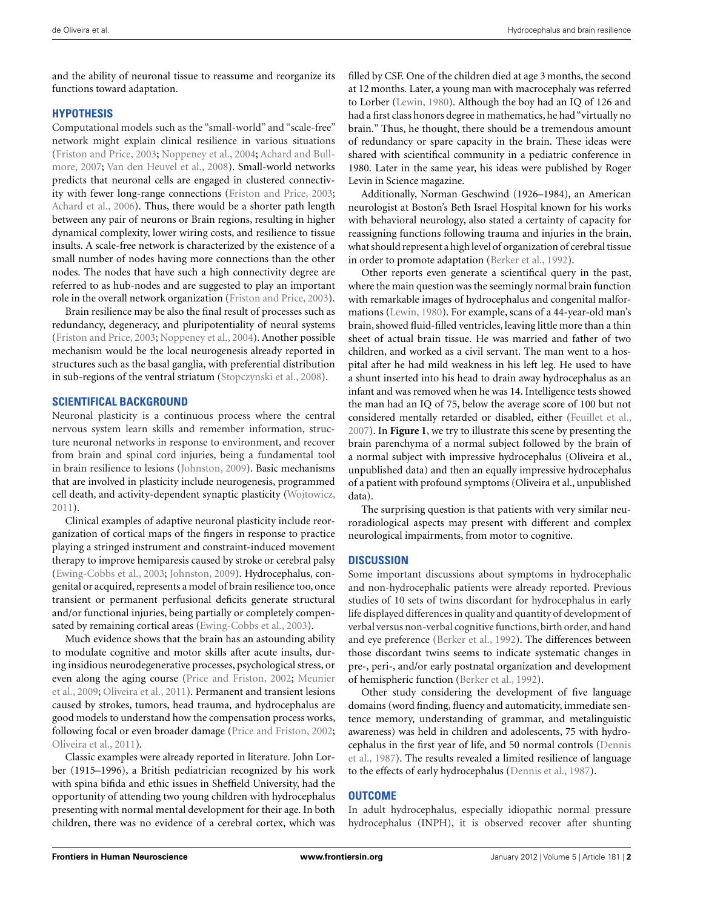and the ability of neuronal tissue to reassume and reorganize its functions toward adaptation.

## **HYPOTHESIS**

Computational models such as the "small-world" and "scale-free" network might explain clinical resilience in various situations [\(Friston and Price, 2003](#page-3-0); [Noppeney et al., 2004;](#page-3-0) Achard and Bullmore, [2007](#page-3-0); [Van den Heuvel et al., 2008\)](#page-3-0). Small-world networks predicts that neuronal cells are engaged in clustered connectivity with fewer long-range connections [\(Friston and Price](#page-3-0), [2003;](#page-3-0) [Achard et al.](#page-3-0), [2006](#page-3-0)). Thus, there would be a shorter path length between any pair of neurons or Brain regions, resulting in higher dynamical complexity, lower wiring costs, and resilience to tissue insults. A scale-free network is characterized by the existence of a small number of nodes having more connections than the other nodes. The nodes that have such a high connectivity degree are referred to as hub-nodes and are suggested to play an important role in the overall network organization [\(Friston and Price](#page-3-0), [2003](#page-3-0)).

Brain resilience may be also the final result of processes such as redundancy, degeneracy, and pluripotentiality of neural systems [\(Friston and Price](#page-3-0), [2003](#page-3-0); [Noppeney et al.](#page-3-0), [2004](#page-3-0)). Another possible mechanism would be the local neurogenesis already reported in structures such as the basal ganglia, with preferential distribution in sub-regions of the ventral striatum [\(Stopczynski et al., 2008](#page-3-0)).

## **SCIENTIFICAL BACKGROUND**

Neuronal plasticity is a continuous process where the central nervous system learn skills and remember information, structure neuronal networks in response to environment, and recover from brain and spinal cord injuries, being a fundamental tool in brain resilience to lesions [\(Johnston, 2009\)](#page-3-0). Basic mechanisms that are involved in plasticity include neurogenesis, programmed cell death, and activity-dependent synaptic plasticity [\(Wojtowicz,](#page-3-0) [2011\)](#page-3-0).

Clinical examples of adaptive neuronal plasticity include reorganization of cortical maps of the fingers in response to practice playing a stringed instrument and constraint-induced movement therapy to improve hemiparesis caused by stroke or cerebral palsy [\(Ewing-Cobbs et al., 2003](#page-3-0); [Johnston](#page-3-0), [2009\)](#page-3-0). Hydrocephalus, congenital or acquired, represents a model of brain resilience too, once transient or permanent perfusional deficits generate structural and/or functional injuries, being partially or completely compensated by remaining cortical areas [\(Ewing-Cobbs et al.](#page-3-0), [2003\)](#page-3-0).

Much evidence shows that the brain has an astounding ability to modulate cognitive and motor skills after acute insults, during insidious neurodegenerative processes, psychological stress, or even [along the aging course \(Price and Friston, 2002;](#page-3-0) Meunier et al., [2009;](#page-3-0) [Oliveira et al.](#page-3-0), [2011](#page-3-0)). Permanent and transient lesions caused by strokes, tumors, head trauma, and hydrocephalus are good models to understand how the compensation process works, following focal or even broader damage [\(Price and Friston](#page-3-0), [2002;](#page-3-0) [Oliveira et al., 2011](#page-3-0)).

Classic examples were already reported in literature. John Lorber (1915–1996), a British pediatrician recognized by his work with spina bifida and ethic issues in Sheffield University, had the opportunity of attending two young children with hydrocephalus presenting with normal mental development for their age. In both children, there was no evidence of a cerebral cortex, which was

filled by CSF. One of the children died at age 3 months, the second at 12 months. Later, a young man with macrocephaly was referred to Lorber [\(Lewin](#page-3-0), [1980](#page-3-0)). Although the boy had an IQ of 126 and had a first class honors degree in mathematics, he had "virtually no brain." Thus, he thought, there should be a tremendous amount of redundancy or spare capacity in the brain. These ideas were shared with scientifical community in a pediatric conference in 1980. Later in the same year, his ideas were published by Roger Levin in Science magazine.

Additionally, Norman Geschwind (1926–1984), an American neurologist at Boston's Beth Israel Hospital known for his works with behavioral neurology, also stated a certainty of capacity for reassigning functions following trauma and injuries in the brain, what should represent a high level of organization of cerebral tissue in order to promote adaptation [\(Berker et al.](#page-3-0), [1992\)](#page-3-0).

Other reports even generate a scientifical query in the past, where the main question was the seemingly normal brain function with remarkable images of hydrocephalus and congenital malformations [\(Lewin, 1980](#page-3-0)). For example, scans of a 44-year-old man's brain, showed fluid-filled ventricles, leaving little more than a thin sheet of actual brain tissue. He was married and father of two children, and worked as a civil servant. The man went to a hospital after he had mild weakness in his left leg. He used to have a shunt inserted into his head to drain away hydrocephalus as an infant and was removed when he was 14. Intelligence tests showed the man had an IQ of 75, below the average score of 100 but not considered mentally retarded or disabled, either [\(Feuillet et al.,](#page-3-0) [2007\)](#page-3-0). In **[Figure 1](#page-2-0)**, we try to illustrate this scene by presenting the brain parenchyma of a normal subject followed by the brain of a normal subject with impressive hydrocephalus (Oliveira et al., unpublished data) and then an equally impressive hydrocephalus of a patient with profound symptoms (Oliveira et al., unpublished data).

The surprising question is that patients with very similar neuroradiological aspects may present with different and complex neurological impairments, from motor to cognitive.

# **DISCUSSION**

Some important discussions about symptoms in hydrocephalic and non-hydrocephalic patients were already reported. Previous studies of 10 sets of twins discordant for hydrocephalus in early life displayed differences in quality and quantity of development of verbal versus non-verbal cognitive functions, birth order, and hand and eye preference [\(Berker et al., 1992](#page-3-0)). The differences between those discordant twins seems to indicate systematic changes in pre-, peri-, and/or early postnatal organization and development of hemispheric function [\(Berker et al., 1992\)](#page-3-0).

Other study considering the development of five language domains (word finding, fluency and automaticity, immediate sentence memory, understanding of grammar, and metalinguistic awareness) was held in children and adolescents, 75 with hydroceph[alus in the first year of life, and 50 normal controls \(](#page-3-0)Dennis et al., [1987\)](#page-3-0). The results revealed a limited resilience of language to the effects of early hydrocephalus [\(Dennis et al., 1987\)](#page-3-0).

#### **OUTCOME**

In adult hydrocephalus, especially idiopathic normal pressure hydrocephalus (INPH), it is observed recover after shunting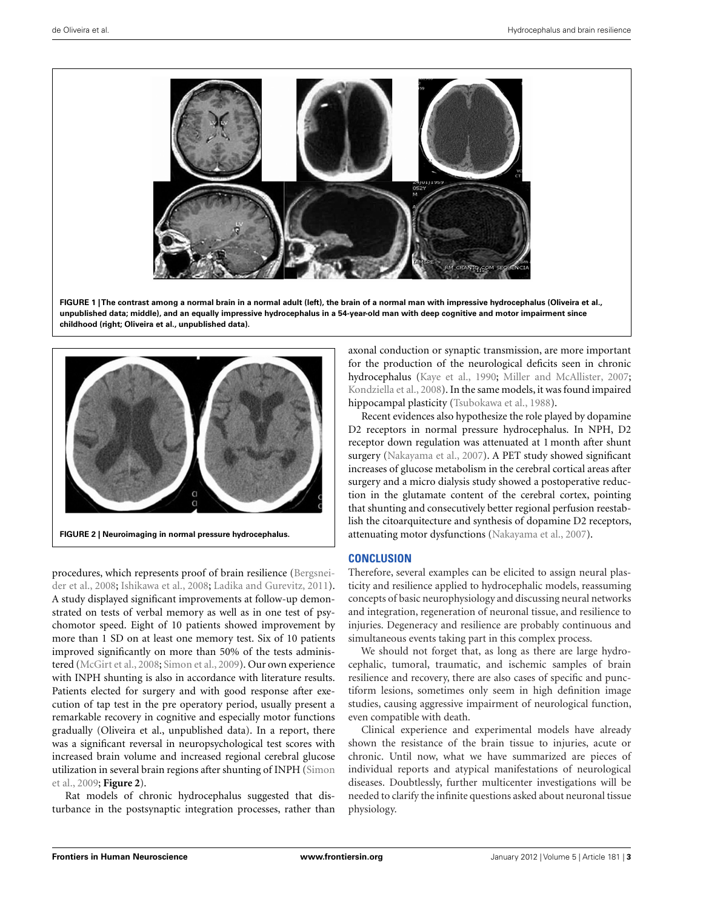<span id="page-2-0"></span>

**FIGURE 1 | The contrast among a normal brain in a normal adult (left), the brain of a normal man with impressive hydrocephalus (Oliveira et al., unpublished data; middle), and an equally impressive hydrocephalus in a 54-year-old man with deep cognitive and motor impairment since childhood (right; Oliveira et al., unpublished data).**



procedu[res,](#page-3-0) [which](#page-3-0) [represents](#page-3-0) [proof](#page-3-0) [of](#page-3-0) [brain](#page-3-0) [resilience](#page-3-0) [\(](#page-3-0)Bergsneider et al., [2008;](#page-3-0) [Ishikawa et al.](#page-3-0), [2008;](#page-3-0) [Ladika and Gurevitz, 2011](#page-3-0)). A study displayed significant improvements at follow-up demonstrated on tests of verbal memory as well as in one test of psychomotor speed. Eight of 10 patients showed improvement by more than 1 SD on at least one memory test. Six of 10 patients improved significantly on more than 50% of the tests administered [\(McGirt et al., 2008;](#page-3-0) [Simon et al., 2009](#page-3-0)). Our own experience with INPH shunting is also in accordance with literature results. Patients elected for surgery and with good response after execution of tap test in the pre operatory period, usually present a remarkable recovery in cognitive and especially motor functions gradually (Oliveira et al., unpublished data). In a report, there was a significant reversal in neuropsychological test scores with increased brain volume and increased regional cerebral glucose utili[zation](#page-3-0) [in](#page-3-0) [several](#page-3-0) [brain](#page-3-0) [regions](#page-3-0) [after](#page-3-0) [shunting](#page-3-0) [of](#page-3-0) [INPH](#page-3-0) [\(](#page-3-0)Simon et al., [2009;](#page-3-0) **Figure 2**).

Rat models of chronic hydrocephalus suggested that disturbance in the postsynaptic integration processes, rather than axonal conduction or synaptic transmission, are more important for the production of the neurological deficits seen in chronic hydrocephalus [\(Kaye et al., 1990](#page-3-0); [Miller and McAllister](#page-3-0), [2007;](#page-3-0) [Kondziella et al., 2008\)](#page-3-0). In the same models, it was found impaired hippocampal plasticity [\(Tsubokawa et al.](#page-3-0), [1988\)](#page-3-0).

Recent evidences also hypothesize the role played by dopamine D2 receptors in normal pressure hydrocephalus. In NPH, D2 receptor down regulation was attenuated at 1 month after shunt surgery [\(Nakayama et al.](#page-3-0), [2007\)](#page-3-0). A PET study showed significant increases of glucose metabolism in the cerebral cortical areas after surgery and a micro dialysis study showed a postoperative reduction in the glutamate content of the cerebral cortex, pointing that shunting and consecutively better regional perfusion reestablish the citoarquitecture and synthesis of dopamine D2 receptors, attenuating motor dysfunctions [\(Nakayama et al., 2007\)](#page-3-0).

# **CONCLUSION**

Therefore, several examples can be elicited to assign neural plasticity and resilience applied to hydrocephalic models, reassuming concepts of basic neurophysiology and discussing neural networks and integration, regeneration of neuronal tissue, and resilience to injuries. Degeneracy and resilience are probably continuous and simultaneous events taking part in this complex process.

We should not forget that, as long as there are large hydrocephalic, tumoral, traumatic, and ischemic samples of brain resilience and recovery, there are also cases of specific and punctiform lesions, sometimes only seem in high definition image studies, causing aggressive impairment of neurological function, even compatible with death.

Clinical experience and experimental models have already shown the resistance of the brain tissue to injuries, acute or chronic. Until now, what we have summarized are pieces of individual reports and atypical manifestations of neurological diseases. Doubtlessly, further multicenter investigations will be needed to clarify the infinite questions asked about neuronal tissue physiology.